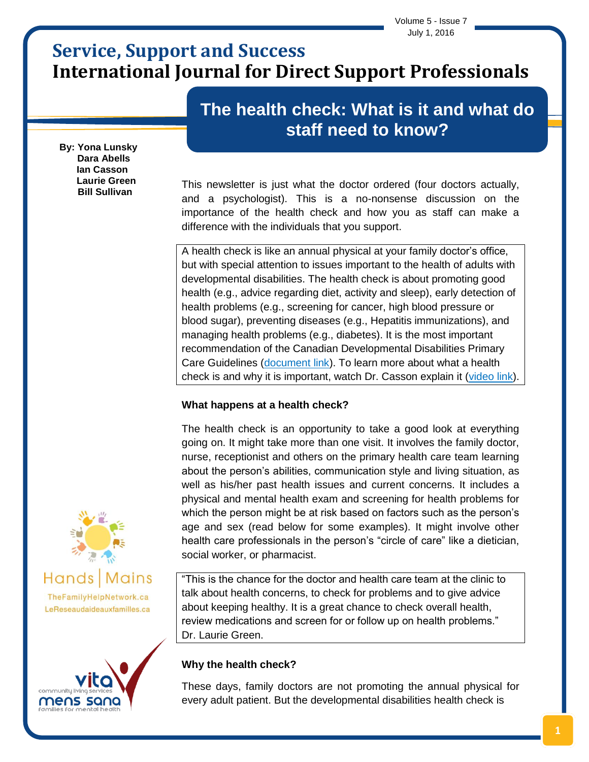Volume 5 - Issue 7 July 1, 2016

# **Service, Support and Success International Journal for Direct Support Professionals**

# **The health check: What is it and what do staff need to know?**

**By: Yona Lunsky Dara Abells Ian Casson Laurie Green Bill Sullivan**

This newsletter is just what the doctor ordered (four doctors actually, and a psychologist). This is a no-nonsense discussion on the importance of the health check and how you as staff can make a difference with the individuals that you support.

A health check is like an annual physical at your family doctor's office, but with special attention to issues important to the health of adults with developmental disabilities. The health check is about promoting good health (e.g., advice regarding diet, activity and sleep), early detection of health problems (e.g., screening for cancer, high blood pressure or blood sugar), preventing diseases (e.g., Hepatitis immunizations), and managing health problems (e.g., diabetes). It is the most important recommendation of the Canadian Developmental Disabilities Primary Care Guidelines [\(document link\)](http://www.surreyplace.on.ca/documents/Primary%20Care/Primary%20Care%20of%20Adults%20with%20Developmental%20Disabilities%20Canadian%20Consensus%20Guidelines.pdf). To learn more about what a health check is and why it is important, watch Dr. Casson explain it [\(video link\)](https://www.youtube.com/watch?v=a2n51NAX5Xo).

## **What happens at a health check?**

The health check is an opportunity to take a good look at everything going on. It might take more than one visit. It involves the family doctor, nurse, receptionist and others on the primary health care team learning about the person's abilities, communication style and living situation, as well as his/her past health issues and current concerns. It includes a physical and mental health exam and screening for health problems for which the person might be at risk based on factors such as the person's age and sex (read below for some examples). It might involve other health care professionals in the person's "circle of care" like a dietician, social worker, or pharmacist.

"This is the chance for the doctor and health care team at the clinic to talk about health concerns, to check for problems and to give advice about keeping healthy. It is a great chance to check overall health, review medications and screen for or follow up on health problems." Dr. Laurie Green.

## **Why the health check?**

These days, family doctors are not promoting the annual physical for every adult patient. But the developmental disabilities health check is



TheFamilyHelpNetwork.ca LeReseaudaideauxfamilles.ca

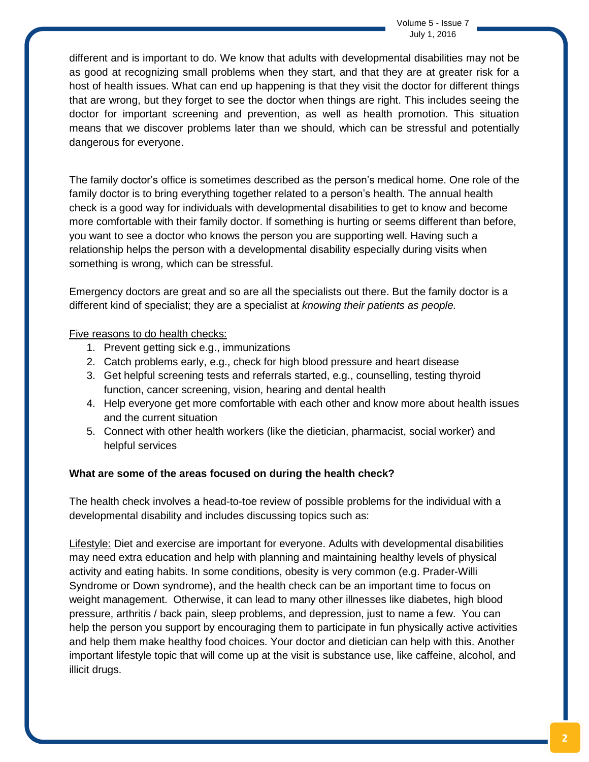different and is important to do. We know that adults with developmental disabilities may not be as good at recognizing small problems when they start, and that they are at greater risk for a host of health issues. What can end up happening is that they visit the doctor for different things that are wrong, but they forget to see the doctor when things are right. This includes seeing the doctor for important screening and prevention, as well as health promotion. This situation means that we discover problems later than we should, which can be stressful and potentially dangerous for everyone.

The family doctor's office is sometimes described as the person's medical home. One role of the family doctor is to bring everything together related to a person's health. The annual health check is a good way for individuals with developmental disabilities to get to know and become more comfortable with their family doctor. If something is hurting or seems different than before, you want to see a doctor who knows the person you are supporting well. Having such a relationship helps the person with a developmental disability especially during visits when something is wrong, which can be stressful.

Emergency doctors are great and so are all the specialists out there. But the family doctor is a different kind of specialist; they are a specialist at *knowing their patients as people.*

### Five reasons to do health checks:

- 1. Prevent getting sick e.g., immunizations
- 2. Catch problems early, e.g., check for high blood pressure and heart disease
- 3. Get helpful screening tests and referrals started, e.g., counselling, testing thyroid function, cancer screening, vision, hearing and dental health
- 4. Help everyone get more comfortable with each other and know more about health issues and the current situation
- 5. Connect with other health workers (like the dietician, pharmacist, social worker) and helpful services

## **What are some of the areas focused on during the health check?**

The health check involves a head-to-toe review of possible problems for the individual with a developmental disability and includes discussing topics such as:

Lifestyle: Diet and exercise are important for everyone. Adults with developmental disabilities may need extra education and help with planning and maintaining healthy levels of physical activity and eating habits. In some conditions, obesity is very common (e.g. Prader-Willi Syndrome or Down syndrome), and the health check can be an important time to focus on weight management. Otherwise, it can lead to many other illnesses like diabetes, high blood pressure, arthritis / back pain, sleep problems, and depression, just to name a few. You can help the person you support by encouraging them to participate in fun physically active activities and help them make healthy food choices. Your doctor and dietician can help with this. Another important lifestyle topic that will come up at the visit is substance use, like caffeine, alcohol, and illicit drugs.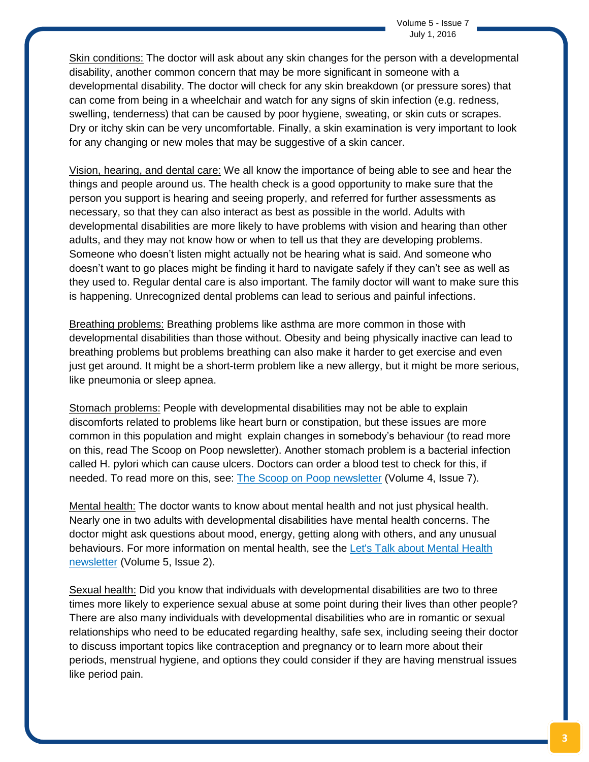Skin conditions: The doctor will ask about any skin changes for the person with a developmental disability, another common concern that may be more significant in someone with a developmental disability. The doctor will check for any skin breakdown (or pressure sores) that can come from being in a wheelchair and watch for any signs of skin infection (e.g. redness, swelling, tenderness) that can be caused by poor hygiene, sweating, or skin cuts or scrapes. Dry or itchy skin can be very uncomfortable. Finally, a skin examination is very important to look for any changing or new moles that may be suggestive of a skin cancer.

Vision, hearing, and dental care: We all know the importance of being able to see and hear the things and people around us. The health check is a good opportunity to make sure that the person you support is hearing and seeing properly, and referred for further assessments as necessary, so that they can also interact as best as possible in the world. Adults with developmental disabilities are more likely to have problems with vision and hearing than other adults, and they may not know how or when to tell us that they are developing problems. Someone who doesn't listen might actually not be hearing what is said. And someone who doesn't want to go places might be finding it hard to navigate safely if they can't see as well as they used to. Regular dental care is also important. The family doctor will want to make sure this is happening. Unrecognized dental problems can lead to serious and painful infections.

Breathing problems: Breathing problems like asthma are more common in those with developmental disabilities than those without. Obesity and being physically inactive can lead to breathing problems but problems breathing can also make it harder to get exercise and even just get around. It might be a short-term problem like a new allergy, but it might be more serious, like pneumonia or sleep apnea.

Stomach problems: People with developmental disabilities may not be able to explain discomforts related to problems like heart burn or constipation, but these issues are more common in this population and might explain changes in somebody's behaviour (to read more on this, read The Scoop on Poop newsletter). Another stomach problem is a bacterial infection called H. pylori which can cause ulcers. Doctors can order a blood test to check for this, if needed. To read more on this, see: The Scoop on Poop [newsletter](http://www.thefamilyhelpnetwork.ca/wp-content/uploads/2013/03/sss-v4-issue-7.pdf) (Volume 4, Issue 7).

Mental health: The doctor wants to know about mental health and not just physical health. Nearly one in two adults with developmental disabilities have mental health concerns. The doctor might ask questions about mood, energy, getting along with others, and any unusual behaviours. For more information on mental health, see the Let's Talk about [Mental](http://www.vitacls.org/UserFiles/uploads/files/Vita_Newsletter%20V5_2_Links_FINAL.pdf) Health [newsletter](http://www.vitacls.org/UserFiles/uploads/files/Vita_Newsletter%20V5_2_Links_FINAL.pdf) (Volume 5, Issue 2).

Sexual health: Did you know that individuals with developmental disabilities are two to three times more likely to experience sexual abuse at some point during their lives than other people? There are also many individuals with developmental disabilities who are in romantic or sexual relationships who need to be educated regarding healthy, safe sex, including seeing their doctor to discuss important topics like contraception and pregnancy or to learn more about their periods, menstrual hygiene, and options they could consider if they are having menstrual issues like period pain.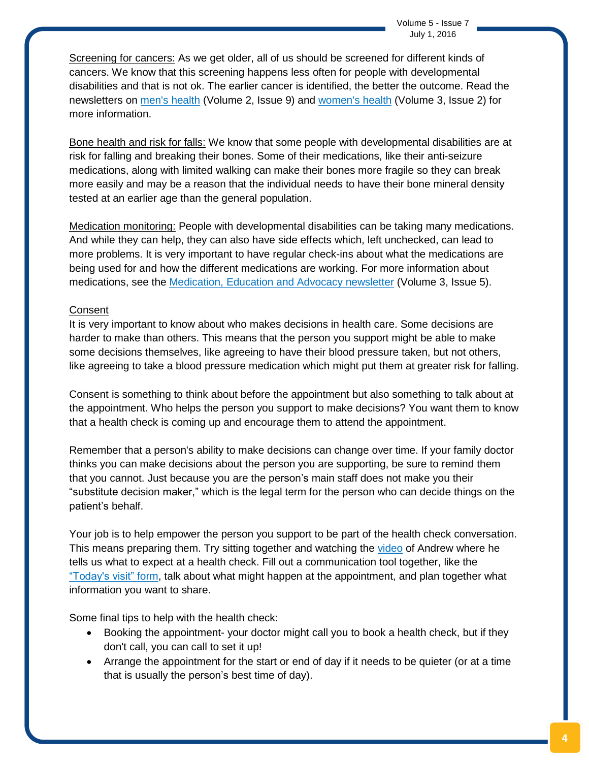Screening for cancers: As we get older, all of us should be screened for different kinds of cancers. We know that this screening happens less often for people with developmental disabilities and that is not ok. The earlier cancer is identified, the better the outcome. Read the newsletters on men's [health](http://www.thefamilyhelpnetwork.ca/wp-content/uploads/2013/03/sss-vol-2-issue-9-september.pdf) (Volume 2, Issue 9) and [women's](http://www.thefamilyhelpnetwork.ca/wp-content/uploads/2013/03/sss-vol-3-issue-2.pdf) health (Volume 3, Issue 2) for more information.

Bone health and risk for falls: We know that some people with developmental disabilities are at risk for falling and breaking their bones. Some of their medications, like their anti-seizure medications, along with limited walking can make their bones more fragile so they can break more easily and may be a reason that the individual needs to have their bone mineral density tested at an earlier age than the general population.

Medication monitoring: People with developmental disabilities can be taking many medications. And while they can help, they can also have side effects which, left unchecked, can lead to more problems. It is very important to have regular check-ins about what the medications are being used for and how the different medications are working. For more information about medications, see the [Medication,](http://www.thefamilyhelpnetwork.ca/wp-content/uploads/2013/03/sss-v3-issue-5.pdf) Education and Advocacy newsletter (Volume 3, Issue 5).

#### **Consent**

It is very important to know about who makes decisions in health care. Some decisions are harder to make than others. This means that the person you support might be able to make some decisions themselves, like agreeing to have their blood pressure taken, but not others, like agreeing to take a blood pressure medication which might put them at greater risk for falling.

Consent is something to think about before the appointment but also something to talk about at the appointment. Who helps the person you support to make decisions? You want them to know that a health check is coming up and encourage them to attend the appointment.

Remember that a person's ability to make decisions can change over time. If your family doctor thinks you can make decisions about the person you are supporting, be sure to remind them that you cannot. Just because you are the person's main staff does not make you their "substitute decision maker," which is the legal term for the person who can decide things on the patient's behalf.

Your job is to help empower the person you support to be part of the health check conversation. This means preparing them. Try sitting together and watching the [video](https://www.youtube.com/watch?v=6HZ6DOnXtB0) of Andrew where he tells us what to expect at a health check. Fill out a communication tool together, like the ["Today's](https://www.porticonetwork.ca/documents/38773/60468/Today) visit" form, talk about what might happen at the appointment, and plan together what information you want to share.

Some final tips to help with the health check:

- Booking the appointment- your doctor might call you to book a health check, but if they don't call, you can call to set it up!
- Arrange the appointment for the start or end of day if it needs to be quieter (or at a time that is usually the person's best time of day).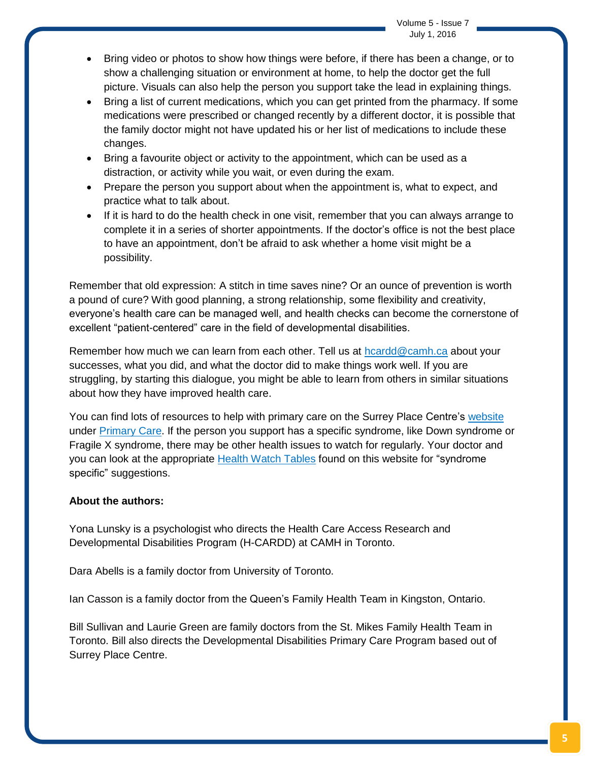Volume 5 - Issue 7 July 1, 2016

- Bring video or photos to show how things were before, if there has been a change, or to show a challenging situation or environment at home, to help the doctor get the full picture. Visuals can also help the person you support take the lead in explaining things.
- Bring a list of current medications, which you can get printed from the pharmacy. If some medications were prescribed or changed recently by a different doctor, it is possible that the family doctor might not have updated his or her list of medications to include these changes.
- Bring a favourite object or activity to the appointment, which can be used as a distraction, or activity while you wait, or even during the exam.
- Prepare the person you support about when the appointment is, what to expect, and practice what to talk about.
- If it is hard to do the health check in one visit, remember that you can always arrange to complete it in a series of shorter appointments. If the doctor's office is not the best place to have an appointment, don't be afraid to ask whether a home visit might be a possibility.

Remember that old expression: A stitch in time saves nine? Or an ounce of prevention is worth a pound of cure? With good planning, a strong relationship, some flexibility and creativity, everyone's health care can be managed well, and health checks can become the cornerstone of excellent "patient-centered" care in the field of developmental disabilities.

Remember how much we can learn from each other. Tell us at [hcardd@camh.ca](mailto:hcardd@camh.ca) about your successes, what you did, and what the doctor did to make things work well. If you are struggling, by starting this dialogue, you might be able to learn from others in similar situations about how they have improved health care.

You can find lots of resources to help with primary care on the Surrey Place Centre's [website](http://www.surreyplace.on.ca/) under [Primary](http://www.surreyplace.on.ca/resources-publications/primary-care/) Care. If the person you support has a specific syndrome, like Down syndrome or Fragile X syndrome, there may be other health issues to watch for regularly. Your doctor and you can look at the appropriate Health Watch [Tables](http://www.surreyplace.on.ca/documents/Primary%20Care/HWT_Williams_Syndrome_Nov_2013.pdf) found on this website for "syndrome specific" suggestions.

#### **About the authors:**

Yona Lunsky is a psychologist who directs the Health Care Access Research and Developmental Disabilities Program (H-CARDD) at CAMH in Toronto.

Dara Abells is a family doctor from University of Toronto.

Ian Casson is a family doctor from the Queen's Family Health Team in Kingston, Ontario.

Bill Sullivan and Laurie Green are family doctors from the St. Mikes Family Health Team in Toronto. Bill also directs the Developmental Disabilities Primary Care Program based out of Surrey Place Centre.